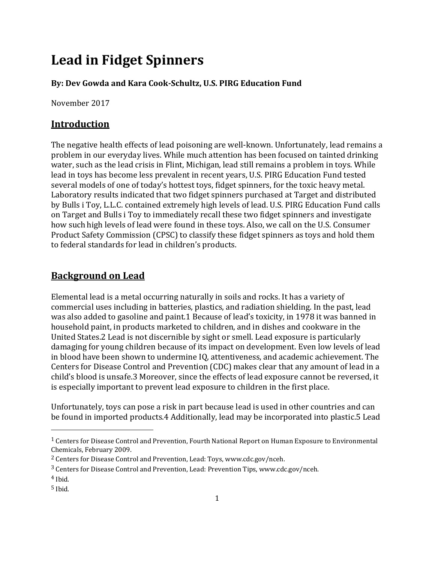# **Lead in Fidget Spinners**

#### **By: Dev Gowda and Kara Cook-Schultz, U.S. PIRG Education Fund**

November 2017

#### **Introduction**

The negative health effects of lead poisoning are well-known. Unfortunately, lead remains a problem in our everyday lives. While much attention has been focused on tainted drinking water, such as the lead crisis in Flint, Michigan, lead still remains a problem in toys. While lead in toys has become less prevalent in recent years, U.S. PIRG Education Fund tested several models of one of today's hottest toys, fidget spinners, for the toxic heavy metal. Laboratory results indicated that two fidget spinners purchased at Target and distributed by Bulls i Toy, L.L.C. contained extremely high levels of lead. U.S. PIRG Education Fund calls on Target and Bulls i Toy to immediately recall these two fidget spinners and investigate how such high levels of lead were found in these toys. Also, we call on the U.S. Consumer Product Safety Commission (CPSC) to classify these fidget spinners as toys and hold them to federal standards for lead in children's products.

#### **Background on Lead**

Elemental lead is a metal occurring naturally in soils and rocks. It has a variety of commercial uses including in batteries, plastics, and radiation shielding. In the past, lead was also added to gasoline and paint.1 Because of lead's toxicity, in 1978 it was banned in household paint, in products marketed to children, and in dishes and cookware in the United States.2 Lead is not discernible by sight or smell. Lead exposure is particularly damaging for young children because of its impact on development. Even low levels of lead in blood have been shown to undermine IQ, attentiveness, and academic achievement. The Centers for Disease Control and Prevention (CDC) makes clear that any amount of lead in a child's blood is unsafe.3 Moreover, since the effects of lead exposure cannot be reversed, it is especially important to prevent lead exposure to children in the first place.

Unfortunately, toys can pose a risk in part because lead is used in other countries and can be found in imported products.4 Additionally, lead may be incorporated into plastic.5 Lead

 $\overline{a}$ 

<sup>1</sup> Centers for Disease Control and Prevention, Fourth National Report on Human Exposure to Environmental Chemicals, February 2009.

<sup>2</sup> Centers for Disease Control and Prevention, Lead: Toys, www.cdc.gov/nceh.

<sup>3</sup> Centers for Disease Control and Prevention, Lead: Prevention Tips, www.cdc.gov/nceh.

 $4$  Ihid.

 $5$  Ibid.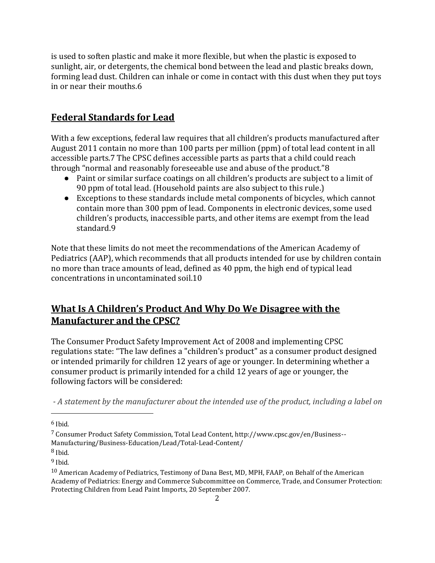is used to soften plastic and make it more flexible, but when the plastic is exposed to sunlight, air, or detergents, the chemical bond between the lead and plastic breaks down, forming lead dust. Children can inhale or come in contact with this dust when they put toys in or near their mouths.6

## **Federal Standards for Lead**

With a few exceptions, federal law requires that all children's products manufactured after August 2011 contain no more than 100 parts per million (ppm) of total lead content in all accessible parts.7 The CPSC defines accessible parts as parts that a child could reach through "normal and reasonably foreseeable use and abuse of the product."8

- Paint or similar surface coatings on all children's products are subject to a limit of 90 ppm of total lead. (Household paints are also subject to this rule.)
- Exceptions to these standards include metal components of bicycles, which cannot contain more than 300 ppm of lead. Components in electronic devices, some used children's products, inaccessible parts, and other items are exempt from the lead standard.9

Note that these limits do not meet the recommendations of the American Academy of Pediatrics (AAP), which recommends that all products intended for use by children contain no more than trace amounts of lead, defined as 40 ppm, the high end of typical lead concentrations in uncontaminated soil.10

## **What Is A Children's Product And Why Do We Disagree with the Manufacturer and the CPSC?**

The Consumer Product Safety Improvement Act of 2008 and implementing CPSC regulations state: "The law defines a "children's product" as a consumer product designed or intended primarily for children 12 years of age or younger. In determining whether a consumer product is primarily intended for a child 12 years of age or younger, the following factors will be considered:

*- A statement by the manufacturer about the intended use of the product, including a label on* 

 $\overline{\phantom{a}}$ 

 $8$  Ibid.

 $6$  Ibid.

<sup>7</sup> Consumer Product Safety Commission, Total Lead Content, http://www.cpsc.gov/en/Business-- Manufacturing/Business-Education/Lead/Total-Lead-Content/

 $9$  Ibid.

<sup>10</sup> American Academy of Pediatrics, Testimony of Dana Best, MD, MPH, FAAP, on Behalf of the American Academy of Pediatrics: Energy and Commerce Subcommittee on Commerce, Trade, and Consumer Protection: Protecting Children from Lead Paint Imports, 20 September 2007.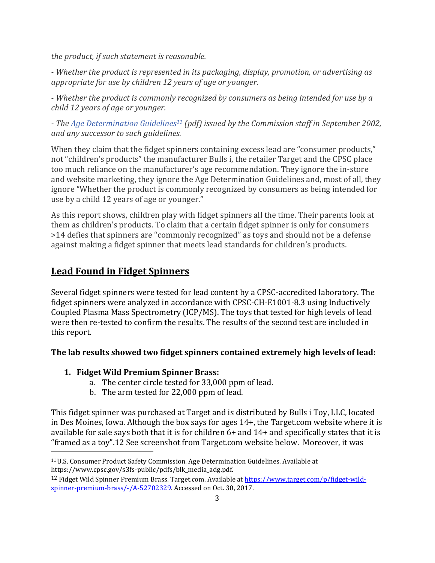*the product, if such statement is reasonable.*

*- Whether the product is represented in its packaging, display, promotion, or advertising as appropriate for use by children 12 years of age or younger.*

*- Whether the product is commonly recognized by consumers as being intended for use by a child 12 years of age or younger.* 

*- The [Age Determination Guidelines](https://www.cpsc.gov/s3fs-public/pdfs/blk_media_adg.pdf)<sup>11</sup> (pdf) issued by the Commission staff in September 2002, and any successor to such guidelines.*

When they claim that the fidget spinners containing excess lead are "consumer products," not "children's products" the manufacturer Bulls i, the retailer Target and the CPSC place too much reliance on the manufacturer's age recommendation. They ignore the in-store and website marketing, they ignore the Age Determination Guidelines and, most of all, they ignore "Whether the product is commonly recognized by consumers as being intended for use by a child 12 years of age or younger."

As this report shows, children play with fidget spinners all the time. Their parents look at them as children's products. To claim that a certain fidget spinner is only for consumers >14 defies that spinners are "commonly recognized" as toys and should not be a defense against making a fidget spinner that meets lead standards for children's products.

## **Lead Found in Fidget Spinners**

 $\overline{a}$ 

Several fidget spinners were tested for lead content by a CPSC-accredited laboratory. The fidget spinners were analyzed in accordance with CPSC-CH-E1001-8.3 using Inductively Coupled Plasma Mass Spectrometry (ICP/MS). The toys that tested for high levels of lead were then re-tested to confirm the results. The results of the second test are included in this report.

### **The lab results showed two fidget spinners contained extremely high levels of lead:**

#### **1. Fidget Wild Premium Spinner Brass:**

- a. The center circle tested for 33,000 ppm of lead.
- b. The arm tested for 22,000 ppm of lead.

This fidget spinner was purchased at Target and is distributed by Bulls i Toy, LLC, located in Des Moines, Iowa. Although the box says for ages 14+, the Target.com website where it is available for sale says both that it is for children 6+ and 14+ and specifically states that it is "framed as a toy".12 See screenshot from Target.com website below. Moreover, it was

<sup>11</sup>U.S. Consumer Product Safety Commission. Age Determination Guidelines. Available at https://www.cpsc.gov/s3fs-public/pdfs/blk\_media\_adg.pdf.

<sup>&</sup>lt;sup>12</sup> Fidget Wild Spinner Premium Brass. Target.com. Available at [https://www.target.com/p/fidget-wild](https://www.target.com/p/fidget-wild-spinner-premium-brass/-/A-52702329)[spinner-premium-brass/-/A-52702329.](https://www.target.com/p/fidget-wild-spinner-premium-brass/-/A-52702329) Accessed on Oct. 30, 2017.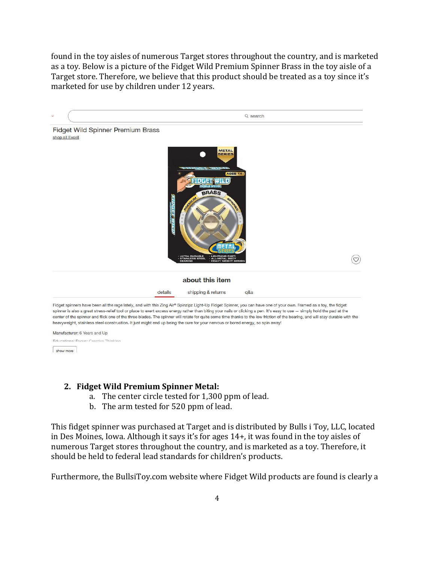found in the toy aisles of numerous Target stores throughout the country, and is marketed as a toy. Below is a picture of the Fidget Wild Premium Spinner Brass in the toy aisle of a Target store. Therefore, we believe that this product should be treated as a toy since it's marketed for use by children under 12 years.



Manufacturer: 6 Years and Up Educational Focus: Crastiva Thinkinn

show more

#### **2. Fidget Wild Premium Spinner Metal:**

- a. The center circle tested for 1,300 ppm of lead.
- b. The arm tested for 520 ppm of lead.

This fidget spinner was purchased at Target and is distributed by Bulls i Toy, LLC, located in Des Moines, Iowa. Although it says it's for ages 14+, it was found in the toy aisles of numerous Target stores throughout the country, and is marketed as a toy. Therefore, it should be held to federal lead standards for children's products.

Furthermore, the BullsiToy.com website where Fidget Wild products are found is clearly a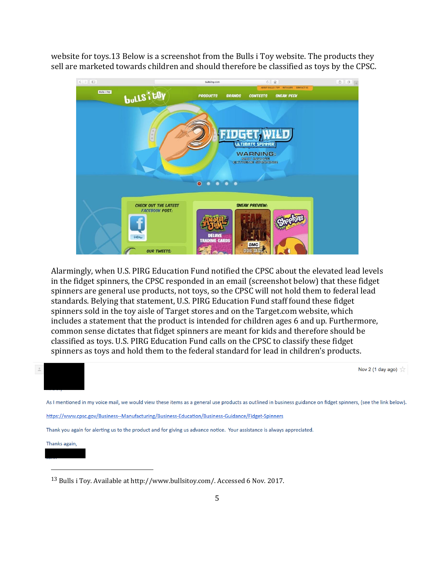website for toys.13 Below is a screenshot from the Bulls i Toy website. The products they sell are marketed towards children and should therefore be classified as toys by the CPSC.



Alarmingly, when U.S. PIRG Education Fund notified the CPSC about the elevated lead levels in the fidget spinners, the CPSC responded in an email (screenshot below) that these fidget spinners are general use products, not toys, so the CPSC will not hold them to federal lead standards. Belying that statement, U.S. PIRG Education Fund staff found these fidget spinners sold in the toy aisle of Target stores and on the Target.com website, which includes a statement that the product is intended for children ages 6 and up. Furthermore, common sense dictates that fidget spinners are meant for kids and therefore should be classified as toys. U.S. PIRG Education Fund calls on the CPSC to classify these fidget spinners as toys and hold them to the federal standard for lead in children's products.



<sup>13</sup> Bulls i Toy. Available at http://www.bullsitoy.com/. Accessed 6 Nov. 2017.

 $\overline{\phantom{a}}$